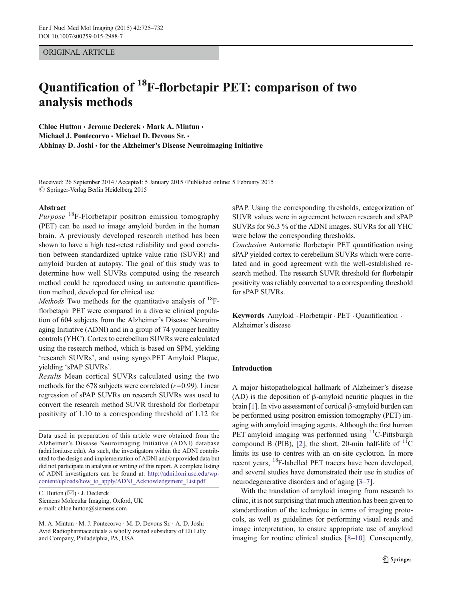ORIGINAL ARTICLE

# Quantification of 18F-florbetapir PET: comparison of two analysis methods

Chloe Hutton  $\cdot$  Jerome Declerck  $\cdot$  Mark A. Mintun  $\cdot$ Michael J. Pontecorvo  $\cdot$  Michael D. Devous Sr.  $\cdot$ Abhinay D. Joshi · for the Alzheimer's Disease Neuroimaging Initiative

Received: 26 September 2014 /Accepted: 5 January 2015 /Published online: 5 February 2015  $\oslash$  Springer-Verlag Berlin Heidelberg 2015

#### Abstract

*Purpose*  $^{18}$ F-Florbetapir positron emission tomography (PET) can be used to image amyloid burden in the human brain. A previously developed research method has been shown to have a high test-retest reliability and good correlation between standardized uptake value ratio (SUVR) and amyloid burden at autopsy. The goal of this study was to determine how well SUVRs computed using the research method could be reproduced using an automatic quantification method, developed for clinical use.

*Methods* Two methods for the quantitative analysis of  $^{18}$ Fflorbetapir PET were compared in a diverse clinical population of 604 subjects from the Alzheimer's Disease Neuroimaging Initiative (ADNI) and in a group of 74 younger healthy controls (YHC). Cortex to cerebellum SUVRs were calculated using the research method, which is based on SPM, yielding 'research SUVRs', and using syngo.PET Amyloid Plaque, yielding 'sPAP SUVRs'.

Results Mean cortical SUVRs calculated using the two methods for the 678 subjects were correlated  $(r=0.99)$ . Linear regression of sPAP SUVRs on research SUVRs was used to convert the research method SUVR threshold for florbetapir positivity of 1.10 to a corresponding threshold of 1.12 for

C. Hutton  $(\boxtimes) \cdot$  J. Declerck Siemens Molecular Imaging, Oxford, UK

e-mail: chloe.hutton@siemens.com

sPAP. Using the corresponding thresholds, categorization of SUVR values were in agreement between research and sPAP SUVRs for 96.3 % of the ADNI images. SUVRs for all YHC were below the corresponding thresholds.

Conclusion Automatic florbetapir PET quantification using sPAP yielded cortex to cerebellum SUVRs which were correlated and in good agreement with the well-established research method. The research SUVR threshold for florbetapir positivity was reliably converted to a corresponding threshold for sPAP SUVRs.

Keywords Amyloid . Florbetapir . PET . Quantification . Alzheimer's disease

## Introduction

A major histopathological hallmark of Alzheimer's disease (AD) is the deposition of β-amyloid neuritic plaques in the brain [\[1\]](#page-6-0). In vivo assessment of cortical β-amyloid burden can be performed using positron emission tomography (PET) imaging with amyloid imaging agents. Although the first human PET amyloid imaging was performed using <sup>11</sup>C-Pittsburgh compound B (PIB), [[2\]](#page-6-0), the short, 20-min half-life of  ${}^{11}C$ limits its use to centres with an on-site cyclotron. In more recent years, 18F-labelled PET tracers have been developed, and several studies have demonstrated their use in studies of neurodegenerative disorders and of aging [\[3](#page-6-0)–[7\]](#page-6-0).

With the translation of amyloid imaging from research to clinic, it is not surprising that much attention has been given to standardization of the technique in terms of imaging protocols, as well as guidelines for performing visual reads and image interpretation, to ensure appropriate use of amyloid imaging for routine clinical studies [[8](#page-6-0)–[10\]](#page-6-0). Consequently,

Data used in preparation of this article were obtained from the Alzheimer's Disease Neuroimaging Initiative (ADNI) database (adni.loni.usc.edu). As such, the investigators within the ADNI contributed to the design and implementation of ADNI and/or provided data but did not participate in analysis or writing of this report. A complete listing of ADNI investigators can be found at: [http://adni.loni.usc.edu/wp](http://dx.doi.org/http://adni.loni.usc.edu/wp-content/uploads/how_to_apply/ADNI_Acknowledgement_List.pdf)[content/uploads/how\\_to\\_apply/ADNI\\_Acknowledgement\\_List.pdf](http://dx.doi.org/http://adni.loni.usc.edu/wp-content/uploads/how_to_apply/ADNI_Acknowledgement_List.pdf)

M. A. Mintun · M. J. Pontecorvo · M. D. Devous Sr. · A. D. Joshi Avid Radiopharmaceuticals a wholly owned subsidiary of Eli Lilly and Company, Philadelphia, PA, USA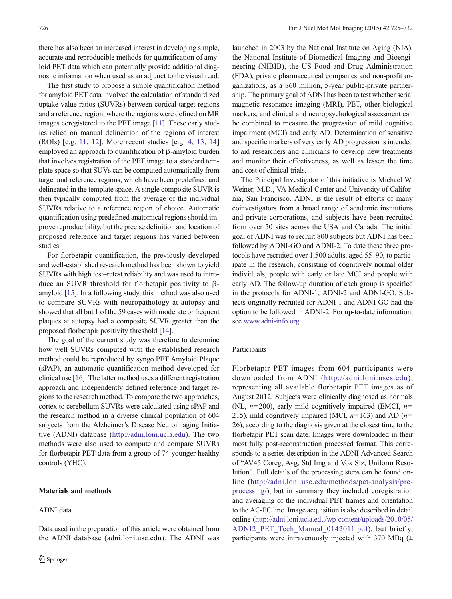there has also been an increased interest in developing simple, accurate and reproducible methods for quantification of amyloid PET data which can potentially provide additional diagnostic information when used as an adjunct to the visual read.

The first study to propose a simple quantification method for amyloid PET data involved the calculation of standardized uptake value ratios (SUVRs) between cortical target regions and a reference region, where the regions were defined on MR images coregistered to the PET image [\[11\]](#page-6-0). These early studies relied on manual delineation of the regions of interest (ROIs) [e.g. [11](#page-6-0), [12\]](#page-6-0). More recent studies [e.g. [4,](#page-6-0) [13](#page-6-0), [14\]](#page-6-0) employed an approach to quantification of β-amyloid burden that involves registration of the PET image to a standard template space so that SUVs can be computed automatically from target and reference regions, which have been predefined and delineated in the template space. A single composite SUVR is then typically computed from the average of the individual SUVRs relative to a reference region of choice. Automatic quantification using predefined anatomical regions should improve reproducibility, but the precise definition and location of proposed reference and target regions has varied between studies.

For florbetapir quantification, the previously developed and well-established research method has been shown to yield SUVRs with high test–retest reliability and was used to introduce an SUVR threshold for florbetapir positivity to βamyloid [\[15](#page-6-0)]. In a following study, this method was also used to compare SUVRs with neuropathology at autopsy and showed that all but 1 of the 59 cases with moderate or frequent plaques at autopsy had a composite SUVR greater than the proposed florbetapir positivity threshold [\[14\]](#page-6-0).

The goal of the current study was therefore to determine how well SUVRs computed with the established research method could be reproduced by syngo.PET Amyloid Plaque (sPAP), an automatic quantification method developed for clinical use [\[16\]](#page-6-0). The latter method uses a different registration approach and independently defined reference and target regions to the research method. To compare the two approaches, cortex to cerebellum SUVRs were calculated using sPAP and the research method in a diverse clinical population of 604 subjects from the Alzheimer's Disease Neuroimaging Initiative (ADNI) database ([http://adni.loni.ucla.edu\)](http://adni.loni.ucla.edu/). The two methods were also used to compute and compare SUVRs for florbetapir PET data from a group of 74 younger healthy controls (YHC).

Data used in the preparation of this article were obtained from the ADNI database (adni.loni.usc.edu). The ADNI was

### Materials and methods

#### ADNI data

launched in 2003 by the National Institute on Aging (NIA), the National Institute of Biomedical Imaging and Bioengineering (NIBIB), the US Food and Drug Administration (FDA), private pharmaceutical companies and non-profit organizations, as a \$60 million, 5-year public-private partnership. The primary goal of ADNI has been to test whether serial magnetic resonance imaging (MRI), PET, other biological markers, and clinical and neuropsychological assessment can be combined to measure the progression of mild cognitive impairment (MCI) and early AD. Determination of sensitive and specific markers of very early AD progression is intended to aid researchers and clinicians to develop new treatments and monitor their effectiveness, as well as lessen the time and cost of clinical trials.

The Principal Investigator of this initiative is Michael W. Weiner, M.D., VA Medical Center and University of California, San Francisco. ADNI is the result of efforts of many coinvestigators from a broad range of academic institutions and private corporations, and subjects have been recruited from over 50 sites across the USA and Canada. The initial goal of ADNI was to recruit 800 subjects but ADNI has been followed by ADNI-GO and ADNI-2. To date these three protocols have recruited over 1,500 adults, aged 55–90, to participate in the research, consisting of cognitively normal older individuals, people with early or late MCI and people with early AD. The follow-up duration of each group is specified in the protocols for ADNI-1, ADNI-2 and ADNI-GO. Subjects originally recruited for ADNI-1 and ADNI-GO had the option to be followed in ADNI-2. For up-to-date information, see [www.adni-info.org.](http://www.adni-info.org/)

#### Participants

Florbetapir PET images from 604 participants were downloaded from ADNI ([http://adni.loni.uscs.edu\)](http://adni.loni.uscs.edu/), representing all available florbetapir PET images as of August 2012. Subjects were clinically diagnosed as normals (NL,  $n=200$ ), early mild cognitively impaired (EMCI,  $n=$ 215), mild cognitively impaired (MCI,  $n=163$ ) and AD ( $n=$ 26), according to the diagnosis given at the closest time to the florbetapir PET scan date. Images were downloaded in their most fully post-reconstruction processed format. This corresponds to a series description in the ADNI Advanced Search of "AV45 Coreg, Avg, Std Img and Vox Siz, Uniform Resolution". Full details of the processing steps can be found online ([http://adni.loni.usc.edu/methods/pet-analysis/pre](http://adni.loni.usc.edu/methods/pet-analysis/pre-processing/)[processing/\)](http://adni.loni.usc.edu/methods/pet-analysis/pre-processing/), but in summary they included coregistration and averaging of the individual PET frames and orientation to the AC-PC line. Image acquisition is also described in detail online [\(http://adni.loni.ucla.edu/wp-content/uploads/2010/05/](http://adni.loni.ucla.edu/wp-content/uploads/2010/05/ADNI2_PET_Tech_Manual_0142011.pdf) ADNI2 PET Tech Manual 0142011.pdf), but briefly, participants were intravenously injected with 370 MBq  $(\pm$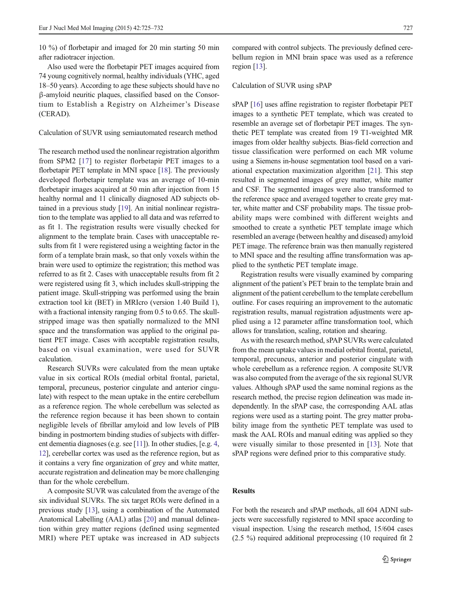10 %) of florbetapir and imaged for 20 min starting 50 min after radiotracer injection.

Also used were the florbetapir PET images acquired from 74 young cognitively normal, healthy individuals (YHC, aged 18–50 years). According to age these subjects should have no β-amyloid neuritic plaques, classified based on the Consortium to Establish a Registry on Alzheimer's Disease (CERAD).

Calculation of SUVR using semiautomated research method

The research method used the nonlinear registration algorithm from SPM2 [\[17\]](#page-6-0) to register florbetapir PET images to a florbetapir PET template in MNI space [[18](#page-6-0)]. The previously developed florbetapir template was an average of 10-min florbetapir images acquired at 50 min after injection from 15 healthy normal and 11 clinically diagnosed AD subjects obtained in a previous study [\[19\]](#page-6-0). An initial nonlinear registration to the template was applied to all data and was referred to as fit 1. The registration results were visually checked for alignment to the template brain. Cases with unacceptable results from fit 1 were registered using a weighting factor in the form of a template brain mask, so that only voxels within the brain were used to optimize the registration; this method was referred to as fit 2. Cases with unacceptable results from fit 2 were registered using fit 3, which includes skull-stripping the patient image. Skull-stripping was performed using the brain extraction tool kit (BET) in MRIcro (version 1.40 Build 1), with a fractional intensity ranging from 0.5 to 0.65. The skullstripped image was then spatially normalized to the MNI space and the transformation was applied to the original patient PET image. Cases with acceptable registration results, based on visual examination, were used for SUVR calculation.

Research SUVRs were calculated from the mean uptake value in six cortical ROIs (medial orbital frontal, parietal, temporal, precuneus, posterior cingulate and anterior cingulate) with respect to the mean uptake in the entire cerebellum as a reference region. The whole cerebellum was selected as the reference region because it has been shown to contain negligible levels of fibrillar amyloid and low levels of PIB binding in postmortem binding studies of subjects with different dementia diagnoses (e.g. see [\[11\]](#page-6-0)). In other studies, [e.g. [4,](#page-6-0) [12\]](#page-6-0), cerebellar cortex was used as the reference region, but as it contains a very fine organization of grey and white matter, accurate registration and delineation may be more challenging than for the whole cerebellum.

A composite SUVR was calculated from the average of the six individual SUVRs. The six target ROIs were defined in a previous study [[13](#page-6-0)], using a combination of the Automated Anatomical Labelling (AAL) atlas [\[20\]](#page-6-0) and manual delineation within grey matter regions (defined using segmented MRI) where PET uptake was increased in AD subjects compared with control subjects. The previously defined cerebellum region in MNI brain space was used as a reference region [[13](#page-6-0)].

#### Calculation of SUVR using sPAP

sPAP [\[16\]](#page-6-0) uses affine registration to register florbetapir PET images to a synthetic PET template, which was created to resemble an average set of florbetapir PET images. The synthetic PET template was created from 19 T1-weighted MR images from older healthy subjects. Bias-field correction and tissue classification were performed on each MR volume using a Siemens in-house segmentation tool based on a variational expectation maximization algorithm [[21\]](#page-6-0). This step resulted in segmented images of grey matter, white matter and CSF. The segmented images were also transformed to the reference space and averaged together to create grey matter, white matter and CSF probability maps. The tissue probability maps were combined with different weights and smoothed to create a synthetic PET template image which resembled an average (between healthy and diseased) amyloid PET image. The reference brain was then manually registered to MNI space and the resulting affine transformation was applied to the synthetic PET template image.

Registration results were visually examined by comparing alignment of the patient's PET brain to the template brain and alignment of the patient cerebellum to the template cerebellum outline. For cases requiring an improvement to the automatic registration results, manual registration adjustments were applied using a 12 parameter affine transformation tool, which allows for translation, scaling, rotation and shearing.

As with the research method, sPAP SUVRs were calculated from the mean uptake values in medial orbital frontal, parietal, temporal, precuneus, anterior and posterior cingulate with whole cerebellum as a reference region. A composite SUVR was also computed from the average of the six regional SUVR values. Although sPAP used the same nominal regions as the research method, the precise region delineation was made independently. In the sPAP case, the corresponding AAL atlas regions were used as a starting point. The grey matter probability image from the synthetic PET template was used to mask the AAL ROIs and manual editing was applied so they were visually similar to those presented in [\[13](#page-6-0)]. Note that sPAP regions were defined prior to this comparative study.

# **Results**

For both the research and sPAP methods, all 604 ADNI subjects were successfully registered to MNI space according to visual inspection. Using the research method, 15/604 cases (2.5 %) required additional preprocessing (10 required fit 2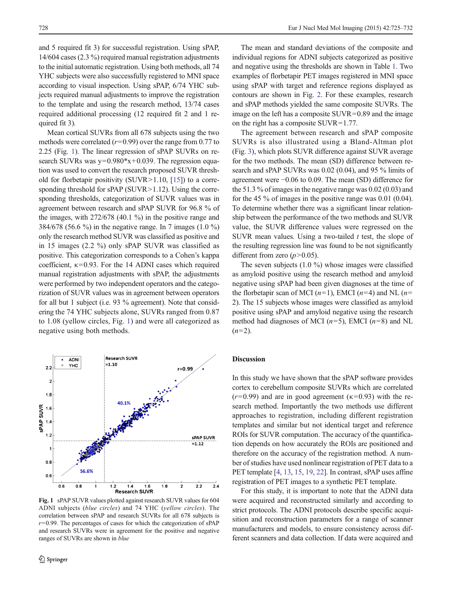and 5 required fit 3) for successful registration. Using sPAP, 14/604 cases (2.3 %) required manual registration adjustments to the initial automatic registration. Using both methods, all 74 YHC subjects were also successfully registered to MNI space according to visual inspection. Using sPAP, 6/74 YHC subjects required manual adjustments to improve the registration to the template and using the research method, 13/74 cases required additional processing (12 required fit 2 and 1 required fit 3).

Mean cortical SUVRs from all 678 subjects using the two methods were correlated  $(r=0.99)$  over the range from 0.77 to 2.25 (Fig. 1). The linear regression of sPAP SUVRs on research SUVRs was  $y=0.980*x+0.039$ . The regression equation was used to convert the research proposed SUVR threshold for florbetapir positivity (SUVR>1.10, [[15\]](#page-6-0)) to a corresponding threshold for sPAP (SUVR>1.12). Using the corresponding thresholds, categorization of SUVR values was in agreement between research and sPAP SUVR for 96.8 % of the images, with 272/678 (40.1 %) in the positive range and 384/678 (56.6 %) in the negative range. In 7 images (1.0 %) only the research method SUVR was classified as positive and in 15 images (2.2 %) only sPAP SUVR was classified as positive. This categorization corresponds to a Cohen's kappa coefficient,  $\kappa$ =0.93. For the 14 ADNI cases which required manual registration adjustments with sPAP, the adjustments were performed by two independent operators and the categorization of SUVR values was in agreement between operators for all but 1 subject (i.e. 93 % agreement). Note that considering the 74 YHC subjects alone, SUVRs ranged from 0.87 to 1.08 (yellow circles, Fig. 1) and were all categorized as negative using both methods.



Fig. 1 sPAP SUVR values plotted against research SUVR values for 604 ADNI subjects (blue circles) and 74 YHC (yellow circles). The correlation between sPAP and research SUVRs for all 678 subjects is  $r=0.99$ . The percentages of cases for which the categorization of sPAP and research SUVRs were in agreement for the positive and negative ranges of SUVRs are shown in blue

The mean and standard deviations of the composite and individual regions for ADNI subjects categorized as positive and negative using the thresholds are shown in Table [1.](#page-4-0) Two examples of florbetapir PET images registered in MNI space using sPAP with target and reference regions displayed as contours are shown in Fig. [2.](#page-4-0) For these examples, research and sPAP methods yielded the same composite SUVRs. The image on the left has a composite  $SUVR=0.89$  and the image on the right has a composite SUVR=1.77.

The agreement between research and sPAP composite SUVRs is also illustrated using a Bland-Altman plot (Fig. [3\)](#page-5-0), which plots SUVR difference against SUVR average for the two methods. The mean (SD) difference between research and sPAP SUVRs was 0.02 (0.04), and 95 % limits of agreement were −0.06 to 0.09. The mean (SD) difference for the 51.3 % of images in the negative range was 0.02 (0.03) and for the 45 % of images in the positive range was 0.01 (0.04). To determine whether there was a significant linear relationship between the performance of the two methods and SUVR value, the SUVR difference values were regressed on the SUVR mean values. Using a two-tailed  $t$  test, the slope of the resulting regression line was found to be not significantly different from zero  $(p>0.05)$ .

The seven subjects (1.0 %) whose images were classified as amyloid positive using the research method and amyloid negative using sPAP had been given diagnoses at the time of the florbetapir scan of MCI ( $n=1$ ), EMCI ( $n=4$ ) and NL ( $n=$ 2). The 15 subjects whose images were classified as amyloid positive using sPAP and amyloid negative using the research method had diagnoses of MCI ( $n=5$ ), EMCI ( $n=8$ ) and NL  $(n=2)$ .

#### Discussion

In this study we have shown that the sPAP software provides cortex to cerebellum composite SUVRs which are correlated  $(r=0.99)$  and are in good agreement  $(\kappa=0.93)$  with the research method. Importantly the two methods use different approaches to registration, including different registration templates and similar but not identical target and reference ROIs for SUVR computation. The accuracy of the quantification depends on how accurately the ROIs are positioned and therefore on the accuracy of the registration method. A number of studies have used nonlinear registration of PET data to a PET template [\[4](#page-6-0), [13,](#page-6-0) [15,](#page-6-0) [19](#page-6-0), [22\]](#page-7-0). In contrast, sPAP uses affine registration of PET images to a synthetic PET template.

For this study, it is important to note that the ADNI data were acquired and reconstructed similarly and according to strict protocols. The ADNI protocols describe specific acquisition and reconstruction parameters for a range of scanner manufacturers and models, to ensure consistency across different scanners and data collection. If data were acquired and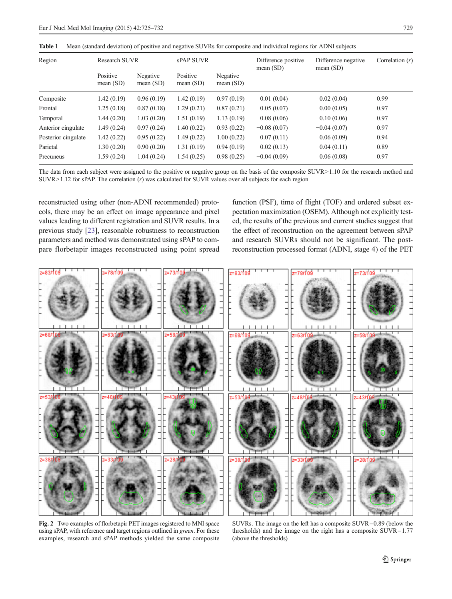| Region              | <b>Research SUVR</b>    |                         | <b>sPAP SUVR</b>        |                         | Difference positive | Difference negative | Correlation $(r)$ |
|---------------------|-------------------------|-------------------------|-------------------------|-------------------------|---------------------|---------------------|-------------------|
|                     | Positive<br>mean $(SD)$ | Negative<br>mean $(SD)$ | Positive<br>mean $(SD)$ | Negative<br>mean $(SD)$ | mean $(SD)$         | mean $(SD)$         |                   |
| Composite           | 1.42(0.19)              | 0.96(0.19)              | 1.42(0.19)              | 0.97(0.19)              | 0.01(0.04)          | 0.02(0.04)          | 0.99              |
| Frontal             | 1.25(0.18)              | 0.87(0.18)              | 1.29(0.21)              | 0.87(0.21)              | 0.05(0.07)          | 0.00(0.05)          | 0.97              |
| Temporal            | 1.44(0.20)              | 1.03(0.20)              | 1.51(0.19)              | 1.13(0.19)              | 0.08(0.06)          | 0.10(0.06)          | 0.97              |
| Anterior cingulate  | 1.49(0.24)              | 0.97(0.24)              | 1.40(0.22)              | 0.93(0.22)              | $-0.08(0.07)$       | $-0.04(0.07)$       | 0.97              |
| Posterior cingulate | 1.42(0.22)              | 0.95(0.22)              | 1.49(0.22)              | 1.00(0.22)              | 0.07(0.11)          | 0.06(0.09)          | 0.94              |
| Parietal            | 1.30(0.20)              | 0.90(0.20)              | 1.31(0.19)              | 0.94(0.19)              | 0.02(0.13)          | 0.04(0.11)          | 0.89              |
| Precuneus           | 1.59(0.24)              | 1.04(0.24)              | 1.54(0.25)              | 0.98(0.25)              | $-0.04(0.09)$       | 0.06(0.08)          | 0.97              |

<span id="page-4-0"></span>Table 1 Mean (standard deviation) of positive and negative SUVRs for composite and individual regions for ADNI subjects

The data from each subject were assigned to the positive or negative group on the basis of the composite SUVR>1.10 for the research method and  $SUVR > 1.12$  for sPAP. The correlation  $(r)$  was calculated for SUVR values over all subjects for each region

reconstructed using other (non-ADNI recommended) protocols, there may be an effect on image appearance and pixel values leading to different registration and SUVR results. In a previous study [\[23](#page-7-0)], reasonable robustness to reconstruction parameters and method was demonstrated using sPAP to compare florbetapir images reconstructed using point spread

function (PSF), time of flight (TOF) and ordered subset expectation maximization (OSEM). Although not explicitly tested, the results of the previous and current studies suggest that the effect of reconstruction on the agreement between sPAP and research SUVRs should not be significant. The postreconstruction processed format (ADNI, stage 4) of the PET



Fig. 2 Two examples of florbetapir PET images registered to MNI space using sPAP, with reference and target regions outlined in green. For these examples, research and sPAP methods yielded the same composite

SUVRs. The image on the left has a composite SUVR=0.89 (below the thresholds) and the image on the right has a composite SUVR=1.77 (above the thresholds)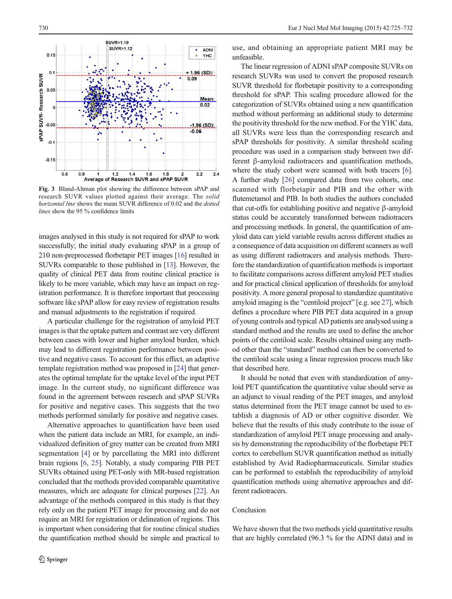<span id="page-5-0"></span>

Fig. 3 Bland-Altman plot showing the difference between sPAP and research SUVR values plotted against their average. The solid horizontal line shows the mean SUVR difference of 0.02 and the dotted lines show the 95 % confidence limits

images analysed in this study is not required for sPAP to work successfully; the initial study evaluating sPAP in a group of 210 non-preprocessed florbetapir PET images [\[16](#page-6-0)] resulted in SUVRs comparable to those published in [[13\]](#page-6-0). However, the quality of clinical PET data from routine clinical practice is likely to be more variable, which may have an impact on registration performance. It is therefore important that processing software like sPAP allow for easy review of registration results and manual adjustments to the registration if required.

A particular challenge for the registration of amyloid PET images is that the uptake pattern and contrast are very different between cases with lower and higher amyloid burden, which may lead to different registration performance between positive and negative cases. To account for this effect, an adaptive template registration method was proposed in [\[24](#page-7-0)] that generates the optimal template for the uptake level of the input PET image. In the current study, no significant difference was found in the agreement between research and sPAP SUVRs for positive and negative cases. This suggests that the two methods performed similarly for positive and negative cases.

Alternative approaches to quantification have been used when the patient data include an MRI, for example, an individualized definition of grey matter can be created from MRI segmentation [[4\]](#page-6-0) or by parcellating the MRI into different brain regions [\[6](#page-6-0), [25](#page-7-0)]. Notably, a study comparing PIB PET SUVRs obtained using PET-only with MR-based registration concluded that the methods provided comparable quantitative measures, which are adequate for clinical purposes [[22](#page-7-0)]. An advantage of the methods compared in this study is that they rely only on the patient PET image for processing and do not require an MRI for registration or delineation of regions. This is important when considering that for routine clinical studies the quantification method should be simple and practical to

use, and obtaining an appropriate patient MRI may be unfeasible.

The linear regression of ADNI sPAP composite SUVRs on research SUVRs was used to convert the proposed research SUVR threshold for florbetapir positivity to a corresponding threshold for sPAP. This scaling procedure allowed for the categorization of SUVRs obtained using a new quantification method without performing an additional study to determine the positivity threshold for the new method. For the YHC data, all SUVRs were less than the corresponding research and sPAP thresholds for positivity. A similar threshold scaling procedure was used in a comparison study between two different β-amyloid radiotracers and quantification methods, where the study cohort were scanned with both tracers [[6\]](#page-6-0). A further study [\[26](#page-7-0)] compared data from two cohorts, one scanned with florbetapir and PIB and the other with flutemetamol and PIB. In both studies the authors concluded that cut-offs for establishing positive and negative β-amyloid status could be accurately transformed between radiotracers and processing methods. In general, the quantification of amyloid data can yield variable results across different studies as a consequence of data acquisition on different scanners as well as using different radiotracers and analysis methods. Therefore the standardization of quantification methods is important to facilitate comparisons across different amyloid PET studies and for practical clinical application of thresholds for amyloid positivity. A more general proposal to standardize quantitative amyloid imaging is the "centiloid project" [e.g. see [27\]](#page-7-0), which defines a procedure where PIB PET data acquired in a group of young controls and typical AD patients are analysed using a standard method and the results are used to define the anchor points of the centiloid scale. Results obtained using any method other than the "standard" method can then be converted to the centiloid scale using a linear regression process much like that described here.

It should be noted that even with standardization of amyloid PET quantification the quantitative value should serve as an adjunct to visual reading of the PET images, and amyloid status determined from the PET image cannot be used to establish a diagnosis of AD or other cognitive disorder. We believe that the results of this study contribute to the issue of standardization of amyloid PET image processing and analysis by demonstrating the reproducibility of the florbetapir PET cortex to cerebellum SUVR quantification method as initially established by Avid Radiopharmaceuticals. Similar studies can be performed to establish the reproducibility of amyloid quantification methods using alternative approaches and different radiotracers.

### Conclusion

We have shown that the two methods yield quantitative results that are highly correlated (96.3 % for the ADNI data) and in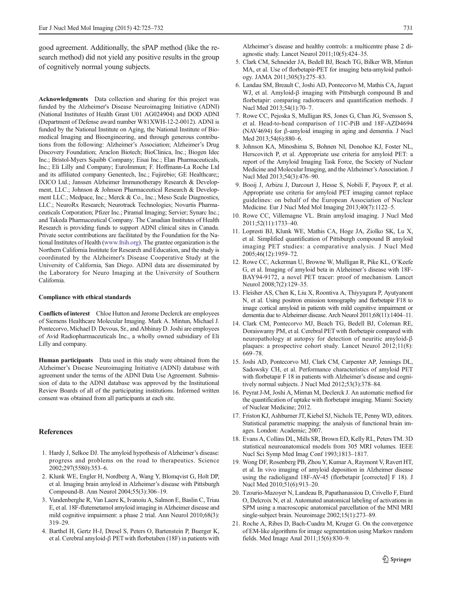<span id="page-6-0"></span>good agreement. Additionally, the sPAP method (like the research method) did not yield any positive results in the group of cognitively normal young subjects.

Acknowledgments Data collection and sharing for this project was funded by the Alzheimer's Disease Neuroimaging Initiative (ADNI) (National Institutes of Health Grant U01 AG024904) and DOD ADNI (Department of Defense award number W81XWH-12-2-0012). ADNI is funded by the National Institute on Aging, the National Institute of Biomedical Imaging and Bioengineering, and through generous contributions from the following: Alzheimer's Association; Alzheimer's Drug Discovery Foundation; Araclon Biotech; BioClinica, Inc.; Biogen Idec Inc.; Bristol-Myers Squibb Company; Eisai Inc.; Elan Pharmaceuticals, Inc.; Eli Lilly and Company; EuroImmun; F. Hoffmann-La Roche Ltd and its affiliated company Genentech, Inc.; Fujirebio; GE Healthcare;; IXICO Ltd.; Janssen Alzheimer Immunotherapy Research & Development, LLC.; Johnson & Johnson Pharmaceutical Research & Development LLC.; Medpace, Inc.; Merck & Co., Inc.; Meso Scale Diagnostics, LLC.; NeuroRx Research; Neurotrack Technologies; Novartis Pharmaceuticals Corporation; Pfizer Inc.; Piramal Imaging; Servier; Synarc Inc.; and Takeda Pharmaceutical Company. The Canadian Institutes of Health Research is providing funds to support ADNI clinical sites in Canada. Private sector contributions are facilitated by the Foundation for the National Institutes of Health [\(www.fnih.org\)](http://www.fnih.org/). The grantee organization is the Northern California Institute for Research and Education, and the study is coordinated by the Alzheimer's Disease Cooperative Study at the University of California, San Diego. ADNI data are disseminated by the Laboratory for Neuro Imaging at the University of Southern California.

#### Compliance with ethical standards

Conflicts of interest Chloe Hutton and Jerome Declerck are employees of Siemens Healthcare Molecular Imaging. Mark A. Mintun, Michael J. Pontecorvo, Michael D. Devous, Sr., and Abhinay D. Joshi are employees of Avid Radiopharmaceuticals Inc., a wholly owned subsidiary of Eli Lilly and company.

Human participants Data used in this study were obtained from the Alzheimer's Disease Neuroimaging Initiative (ADNI) database with agreement under the terms of the ADNI Data Use Agreement. Submission of data to the ADNI database was approved by the Institutional Review Boards of all of the participating institutions. Informed written consent was obtained from all participants at each site.

#### **References**

- 1. Hardy J, Selkoe DJ. The amyloid hypothesis of Alzheimer's disease: progress and problems on the road to therapeutics. Science 2002;297(5580):353–6.
- 2. Klunk WE, Engler H, Nordberg A, Wang Y, Blomqvist G, Holt DP, et al. Imaging brain amyloid in Alzheimer's disease with Pittsburgh Compound-B. Ann Neurol 2004;55(3):306–19.
- 3. Vandenberghe R, Van Laere K, Ivanoiu A, Salmon E, Baslin C, Triau E, et al. 18F-flutemetamol amyloid imaging in Alzheimer disease and mild cognitive impairment: a phase 2 trial. Ann Neurol 2010;68(3): 319–29.
- 4. Barthel H, Gertz H-J, Dresel S, Peters O, Bartenstein P, Buerger K, et al. Cerebral amyloid-β PET with florbetaben (18F) in patients with

Alzheimer's disease and healthy controls: a multicentre phase 2 diagnostic study. Lancet Neurol 2011;10(5):424–35.

- 5. Clark CM, Schneider JA, Bedell BJ, Beach TG, Bilker WB, Mintun MA, et al. Use of florbetapir-PET for imaging beta-amyloid pathology. JAMA 2011;305(3):275–83.
- 6. Landau SM, Breault C, Joshi AD, Pontecorvo M, Mathis CA, Jagust WJ, et al. Amyloid-β imaging with Pittsburgh compound B and florbetapir: comparing radiotracers and quantification methods. J Nucl Med 2013;54(1):70–7.
- 7. Rowe CC, Pejoska S, Mulligan RS, Jones G, Chan JG, Svensson S, et al. Head-to-head comparison of 11C-PiB and 18F-AZD4694 (NAV4694) for β-amyloid imaging in aging and dementia. J Nucl Med 2013;54(6):880–6.
- 8. Johnson KA, Minoshima S, Bohnen NI, Donohoe KJ, Foster NL, Herscovitch P, et al. Appropriate use criteria for amyloid PET: a report of the Amyloid Imaging Task Force, the Society of Nuclear Medicine and Molecular Imaging, and the Alzheimer's Association. J Nucl Med 2013;54(3):476–90.
- 9. Booij J, Arbizu J, Darcourt J, Hesse S, Nobili F, Payoux P, et al. Appropriate use criteria for amyloid PET imaging cannot replace guidelines: on behalf of the European Association of Nuclear Medicine. Eur J Nucl Med Mol Imaging 2013;40(7):1122–5.
- 10. Rowe CC, Villemagne VL. Brain amyloid imaging. J Nucl Med 2011;52(11):1733–40.
- 11. Lopresti BJ, Klunk WE, Mathis CA, Hoge JA, Ziolko SK, Lu X, et al. Simplified quantification of Pittsburgh compound B amyloid imaging PET studies: a comparative analysis. J Nucl Med 2005;46(12):1959–72.
- 12. Rowe CC, Ackerman U, Browne W, Mulligan R, Pike KL, O'Keefe G, et al. Imaging of amyloid beta in Alzheimer's disease with 18F-BAY94-9172, a novel PET tracer: proof of mechanism. Lancet Neurol 2008;7(2):129–35.
- 13. Fleisher AS, Chen K, Liu X, Roontiva A, Thiyyagura P, Ayutyanont N, et al. Using positron emission tomography and florbetapir F18 to image cortical amyloid in patients with mild cognitive impairment or dementia due to Alzheimer disease. Arch Neurol 2011;68(11):1404–11.
- 14. Clark CM, Pontecorvo MJ, Beach TG, Bedell BJ, Coleman RE, Doraiswamy PM, et al. Cerebral PET with florbetapir compared with neuropathology at autopsy for detection of neuritic amyloid-β plaques: a prospective cohort study. Lancet Neurol 2012;11(8): 669–78.
- 15. Joshi AD, Pontecorvo MJ, Clark CM, Carpenter AP, Jennings DL, Sadowsky CH, et al. Performance characteristics of amyloid PET with florbetapir F 18 in patients with Alzheimer's disease and cognitively normal subjects. J Nucl Med 2012;53(3):378–84.
- 16. Peyrat J-M, Joshi A, Mintun M, Declerck J. An automatic method for the quantification of uptake with florbetapir imaging. Miami: Society of Nuclear Medicine; 2012.
- 17. Friston KJ, Ashburner JT, Kiebel SJ, Nichols TE, Penny WD, editors. Statistical parametric mapping: the analysis of functional brain images. London: Academic; 2007.
- 18. Evans A, Collins DL, Mills SR, Brown ED, Kelly RL, Peters TM. 3D statistical neuroanatomical models from 305 MRI volumes. IEEE Nucl Sci Symp Med Imag Conf 1993;1813–1817.
- 19. Wong DF, Rosenberg PB, Zhou Y, Kumar A, Raymont V, Ravert HT, et al. In vivo imaging of amyloid deposition in Alzheimer disease using the radioligand 18F-AV-45 (florbetapir [corrected] F 18). J Nucl Med 2010;51(6):913–20.
- 20. Tzourio-Mazoyer N, Landeau B, Papathanassiou D, Crivello F, Etard O, Delcroix N, et al. Automated anatomical labeling of activations in SPM using a macroscopic anatomical parcellation of the MNI MRI single-subject brain. Neuroimage 2002;15(1):273–89.
- 21. Roche A, Ribes D, Bach-Cuadra M, Kruger G. On the convergence of EM-like algorithms for image segmentation using Markov random fields. Med Image Anal 2011;15(6):830–9.